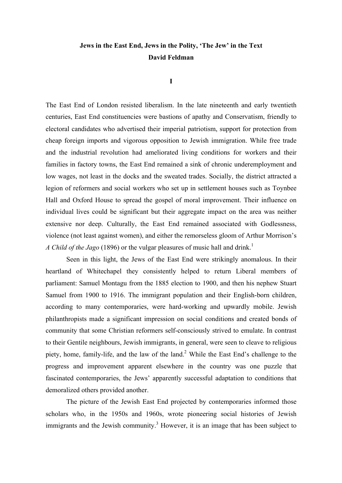## **Jews in the East End, Jews in the Polity, 'The Jew' in the Text David Feldman**

**I**

The East End of London resisted liberalism. In the late nineteenth and early twentieth centuries, East End constituencies were bastions of apathy and Conservatism, friendly to electoral candidates who advertised their imperial patriotism, support for protection from cheap foreign imports and vigorous opposition to Jewish immigration. While free trade and the industrial revolution had ameliorated living conditions for workers and their families in factory towns, the East End remained a sink of chronic underemployment and low wages, not least in the docks and the sweated trades. Socially, the district attracted a legion of reformers and social workers who set up in settlement houses such as Toynbee Hall and Oxford House to spread the gospel of moral improvement. Their influence on individual lives could be significant but their aggregate impact on the area was neither extensive nor deep. Culturally, the East End remained associated with Godlessness, violence (not least against women), and either the remorseless gloom of Arthur Morrison's *A Child of the Jago* (1896) or the vulgar pleasures of music hall and drink.<sup>1</sup>

Seen in this light, the Jews of the East End were strikingly anomalous. In their heartland of Whitechapel they consistently helped to return Liberal members of parliament: Samuel Montagu from the 1885 election to 1900, and then his nephew Stuart Samuel from 1900 to 1916. The immigrant population and their English-born children, according to many contemporaries, were hard-working and upwardly mobile. Jewish philanthropists made a significant impression on social conditions and created bonds of community that some Christian reformers self-consciously strived to emulate. In contrast to their Gentile neighbours, Jewish immigrants, in general, were seen to cleave to religious piety, home, family-life, and the law of the land.<sup>2</sup> While the East End's challenge to the progress and improvement apparent elsewhere in the country was one puzzle that fascinated contemporaries, the Jews' apparently successful adaptation to conditions that demoralized others provided another.

The picture of the Jewish East End projected by contemporaries informed those scholars who, in the 1950s and 1960s, wrote pioneering social histories of Jewish immigrants and the Jewish community.<sup>3</sup> However, it is an image that has been subject to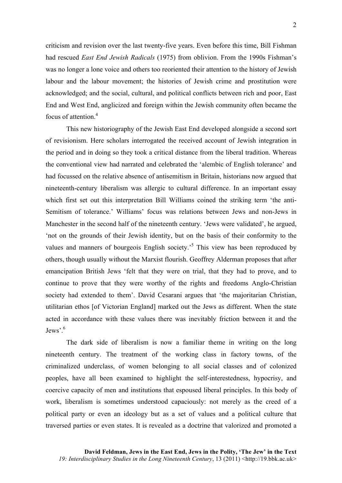criticism and revision over the last twenty-five years. Even before this time, Bill Fishman had rescued *East End Jewish Radicals* (1975) from oblivion. From the 1990s Fishman's was no longer a lone voice and others too reoriented their attention to the history of Jewish labour and the labour movement; the histories of Jewish crime and prostitution were acknowledged; and the social, cultural, and political conflicts between rich and poor, East End and West End, anglicized and foreign within the Jewish community often became the focus of attention.<sup>4</sup>

This new historiography of the Jewish East End developed alongside a second sort of revisionism. Here scholars interrogated the received account of Jewish integration in the period and in doing so they took a critical distance from the liberal tradition. Whereas the conventional view had narrated and celebrated the 'alembic of English tolerance' and had focussed on the relative absence of antisemitism in Britain, historians now argued that nineteenth-century liberalism was allergic to cultural difference. In an important essay which first set out this interpretation Bill Williams coined the striking term 'the anti-Semitism of tolerance.' Williams' focus was relations between Jews and non-Jews in Manchester in the second half of the nineteenth century. 'Jews were validated', he argued, 'not on the grounds of their Jewish identity, but on the basis of their conformity to the values and manners of bourgeois English society.<sup>5</sup> This view has been reproduced by others, though usually without the Marxist flourish. Geoffrey Alderman proposes that after emancipation British Jews 'felt that they were on trial, that they had to prove, and to continue to prove that they were worthy of the rights and freedoms Anglo-Christian society had extended to them'. David Cesarani argues that 'the majoritarian Christian, utilitarian ethos [of Victorian England] marked out the Jews as different. When the state acted in accordance with these values there was inevitably friction between it and the Jews<sup> $,6$ </sup>

The dark side of liberalism is now a familiar theme in writing on the long nineteenth century. The treatment of the working class in factory towns, of the criminalized underclass, of women belonging to all social classes and of colonized peoples, have all been examined to highlight the self-interestedness, hypocrisy, and coercive capacity of men and institutions that espoused liberal principles. In this body of work, liberalism is sometimes understood capaciously: not merely as the creed of a political party or even an ideology but as a set of values and a political culture that traversed parties or even states. It is revealed as a doctrine that valorized and promoted a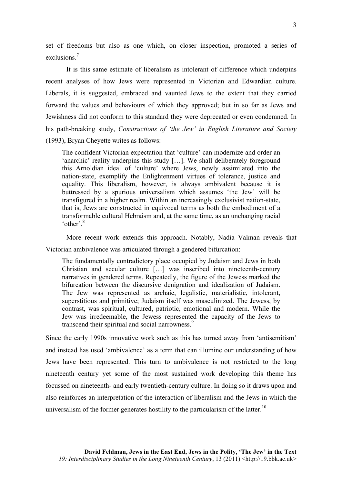set of freedoms but also as one which, on closer inspection, promoted a series of exclusions<sup>7</sup>

It is this same estimate of liberalism as intolerant of difference which underpins recent analyses of how Jews were represented in Victorian and Edwardian culture. Liberals, it is suggested, embraced and vaunted Jews to the extent that they carried forward the values and behaviours of which they approved; but in so far as Jews and Jewishness did not conform to this standard they were deprecated or even condemned. In his path-breaking study, *Constructions of 'the Jew' in English Literature and Society* (1993), Bryan Cheyette writes as follows:

The confident Victorian expectation that 'culture' can modernize and order an 'anarchic' reality underpins this study […]. We shall deliberately foreground this Arnoldian ideal of 'culture' where Jews, newly assimilated into the nation-state, exemplify the Enlightenment virtues of tolerance, justice and equality. This liberalism, however, is always ambivalent because it is buttressed by a spurious universalism which assumes 'the Jew' will be transfigured in a higher realm. Within an increasingly exclusivist nation-state, that is, Jews are constructed in equivocal terms as both the embodiment of a transformable cultural Hebraism and, at the same time, as an unchanging racial 'other'.<sup>8</sup>

More recent work extends this approach. Notably, Nadia Valman reveals that Victorian ambivalence was articulated through a gendered bifurcation:

The fundamentally contradictory place occupied by Judaism and Jews in both Christian and secular culture […] was inscribed into nineteenth-century narratives in gendered terms. Repeatedly, the figure of the Jewess marked the bifurcation between the discursive denigration and idealization of Judaism. The Jew was represented as archaic, legalistic, materialistic, intolerant, superstitious and primitive; Judaism itself was masculinized. The Jewess, by contrast, was spiritual, cultured, patriotic, emotional and modern. While the Jew was irredeemable, the Jewess represented the capacity of the Jews to transcend their spiritual and social narrowness.<sup>9</sup>

Since the early 1990s innovative work such as this has turned away from 'antisemitism' and instead has used 'ambivalence' as a term that can illumine our understanding of how Jews have been represented. This turn to ambivalence is not restricted to the long nineteenth century yet some of the most sustained work developing this theme has focussed on nineteenth- and early twentieth-century culture. In doing so it draws upon and also reinforces an interpretation of the interaction of liberalism and the Jews in which the universalism of the former generates hostility to the particularism of the latter.<sup>10</sup>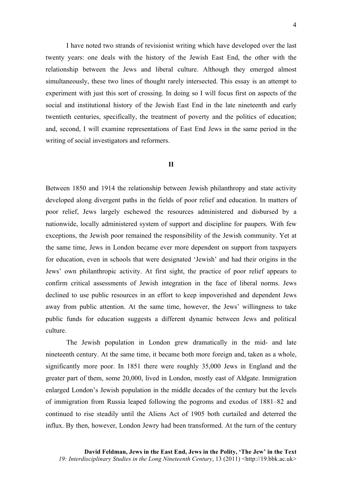I have noted two strands of revisionist writing which have developed over the last twenty years: one deals with the history of the Jewish East End, the other with the relationship between the Jews and liberal culture. Although they emerged almost simultaneously, these two lines of thought rarely intersected. This essay is an attempt to experiment with just this sort of crossing. In doing so I will focus first on aspects of the social and institutional history of the Jewish East End in the late nineteenth and early twentieth centuries, specifically, the treatment of poverty and the politics of education; and, second, I will examine representations of East End Jews in the same period in the writing of social investigators and reformers.

## **II**

Between 1850 and 1914 the relationship between Jewish philanthropy and state activity developed along divergent paths in the fields of poor relief and education. In matters of poor relief, Jews largely eschewed the resources administered and disbursed by a nationwide, locally administered system of support and discipline for paupers. With few exceptions, the Jewish poor remained the responsibility of the Jewish community. Yet at the same time, Jews in London became ever more dependent on support from taxpayers for education, even in schools that were designated 'Jewish' and had their origins in the Jews' own philanthropic activity. At first sight, the practice of poor relief appears to confirm critical assessments of Jewish integration in the face of liberal norms. Jews declined to use public resources in an effort to keep impoverished and dependent Jews away from public attention. At the same time, however, the Jews' willingness to take public funds for education suggests a different dynamic between Jews and political culture.

The Jewish population in London grew dramatically in the mid- and late nineteenth century. At the same time, it became both more foreign and, taken as a whole, significantly more poor. In 1851 there were roughly 35,000 Jews in England and the greater part of them, some 20,000, lived in London, mostly east of Aldgate. Immigration enlarged London's Jewish population in the middle decades of the century but the levels of immigration from Russia leaped following the pogroms and exodus of 1881–82 and continued to rise steadily until the Aliens Act of 1905 both curtailed and deterred the influx. By then, however, London Jewry had been transformed. At the turn of the century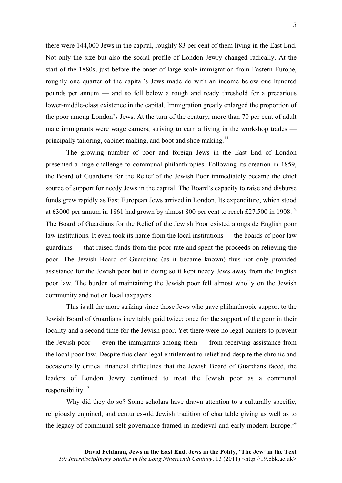there were 144,000 Jews in the capital, roughly 83 per cent of them living in the East End. Not only the size but also the social profile of London Jewry changed radically. At the start of the 1880s, just before the onset of large-scale immigration from Eastern Europe, roughly one quarter of the capital's Jews made do with an income below one hundred pounds per annum — and so fell below a rough and ready threshold for a precarious lower-middle-class existence in the capital. Immigration greatly enlarged the proportion of the poor among London's Jews. At the turn of the century, more than 70 per cent of adult male immigrants were wage earners, striving to earn a living in the workshop trades principally tailoring, cabinet making, and boot and shoe making.<sup>11</sup>

The growing number of poor and foreign Jews in the East End of London presented a huge challenge to communal philanthropies. Following its creation in 1859, the Board of Guardians for the Relief of the Jewish Poor immediately became the chief source of support for needy Jews in the capital. The Board's capacity to raise and disburse funds grew rapidly as East European Jews arrived in London. Its expenditure, which stood at £3000 per annum in 1861 had grown by almost 800 per cent to reach £27,500 in 1908.12 The Board of Guardians for the Relief of the Jewish Poor existed alongside English poor law institutions. It even took its name from the local institutions — the boards of poor law guardians — that raised funds from the poor rate and spent the proceeds on relieving the poor. The Jewish Board of Guardians (as it became known) thus not only provided assistance for the Jewish poor but in doing so it kept needy Jews away from the English poor law. The burden of maintaining the Jewish poor fell almost wholly on the Jewish community and not on local taxpayers.

This is all the more striking since those Jews who gave philanthropic support to the Jewish Board of Guardians inevitably paid twice: once for the support of the poor in their locality and a second time for the Jewish poor. Yet there were no legal barriers to prevent the Jewish poor — even the immigrants among them — from receiving assistance from the local poor law. Despite this clear legal entitlement to relief and despite the chronic and occasionally critical financial difficulties that the Jewish Board of Guardians faced, the leaders of London Jewry continued to treat the Jewish poor as a communal responsibility. $^{13}$ 

Why did they do so? Some scholars have drawn attention to a culturally specific, religiously enjoined, and centuries-old Jewish tradition of charitable giving as well as to the legacy of communal self-governance framed in medieval and early modern Europe.<sup>14</sup>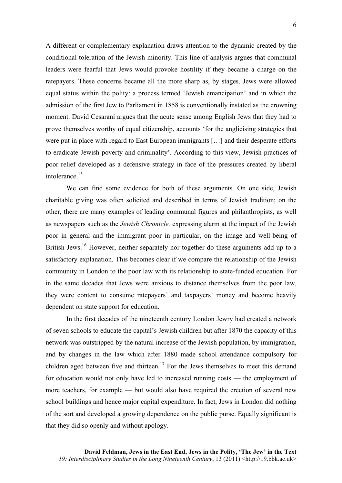A different or complementary explanation draws attention to the dynamic created by the conditional toleration of the Jewish minority. This line of analysis argues that communal leaders were fearful that Jews would provoke hostility if they became a charge on the ratepayers. These concerns became all the more sharp as, by stages, Jews were allowed equal status within the polity: a process termed 'Jewish emancipation' and in which the admission of the first Jew to Parliament in 1858 is conventionally instated as the crowning moment. David Cesarani argues that the acute sense among English Jews that they had to prove themselves worthy of equal citizenship, accounts 'for the anglicising strategies that were put in place with regard to East European immigrants […] and their desperate efforts to eradicate Jewish poverty and criminality'. According to this view, Jewish practices of poor relief developed as a defensive strategy in face of the pressures created by liberal intolerance.<sup>15</sup>

We can find some evidence for both of these arguments. On one side, Jewish charitable giving was often solicited and described in terms of Jewish tradition; on the other, there are many examples of leading communal figures and philanthropists, as well as newspapers such as the *Jewish Chronicle,* expressing alarm at the impact of the Jewish poor in general and the immigrant poor in particular, on the image and well-being of British Jews.<sup>16</sup> However, neither separately nor together do these arguments add up to a satisfactory explanation. This becomes clear if we compare the relationship of the Jewish community in London to the poor law with its relationship to state-funded education. For in the same decades that Jews were anxious to distance themselves from the poor law, they were content to consume ratepayers' and taxpayers' money and become heavily dependent on state support for education.

In the first decades of the nineteenth century London Jewry had created a network of seven schools to educate the capital's Jewish children but after 1870 the capacity of this network was outstripped by the natural increase of the Jewish population, by immigration, and by changes in the law which after 1880 made school attendance compulsory for children aged between five and thirteen.<sup>17</sup> For the Jews themselves to meet this demand for education would not only have led to increased running costs — the employment of more teachers, for example — but would also have required the erection of several new school buildings and hence major capital expenditure. In fact, Jews in London did nothing of the sort and developed a growing dependence on the public purse. Equally significant is that they did so openly and without apology.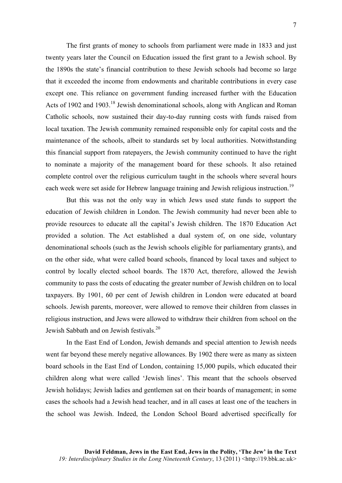The first grants of money to schools from parliament were made in 1833 and just twenty years later the Council on Education issued the first grant to a Jewish school. By the 1890s the state's financial contribution to these Jewish schools had become so large that it exceeded the income from endowments and charitable contributions in every case except one. This reliance on government funding increased further with the Education Acts of 1902 and 1903.<sup>18</sup> Jewish denominational schools, along with Anglican and Roman Catholic schools, now sustained their day-to-day running costs with funds raised from local taxation. The Jewish community remained responsible only for capital costs and the maintenance of the schools, albeit to standards set by local authorities. Notwithstanding this financial support from ratepayers, the Jewish community continued to have the right to nominate a majority of the management board for these schools. It also retained complete control over the religious curriculum taught in the schools where several hours each week were set aside for Hebrew language training and Jewish religious instruction.<sup>19</sup>

But this was not the only way in which Jews used state funds to support the education of Jewish children in London. The Jewish community had never been able to provide resources to educate all the capital's Jewish children. The 1870 Education Act provided a solution. The Act established a dual system of, on one side, voluntary denominational schools (such as the Jewish schools eligible for parliamentary grants), and on the other side, what were called board schools, financed by local taxes and subject to control by locally elected school boards. The 1870 Act, therefore, allowed the Jewish community to pass the costs of educating the greater number of Jewish children on to local taxpayers. By 1901, 60 per cent of Jewish children in London were educated at board schools. Jewish parents, moreover, were allowed to remove their children from classes in religious instruction, and Jews were allowed to withdraw their children from school on the Jewish Sabbath and on Jewish festivals.<sup>20</sup>

In the East End of London, Jewish demands and special attention to Jewish needs went far beyond these merely negative allowances. By 1902 there were as many as sixteen board schools in the East End of London, containing 15,000 pupils, which educated their children along what were called 'Jewish lines'. This meant that the schools observed Jewish holidays; Jewish ladies and gentlemen sat on their boards of management; in some cases the schools had a Jewish head teacher, and in all cases at least one of the teachers in the school was Jewish. Indeed, the London School Board advertised specifically for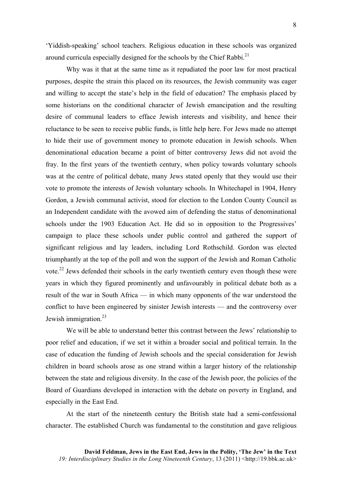'Yiddish-speaking' school teachers. Religious education in these schools was organized around curricula especially designed for the schools by the Chief Rabbi.<sup>21</sup>

Why was it that at the same time as it repudiated the poor law for most practical purposes, despite the strain this placed on its resources, the Jewish community was eager and willing to accept the state's help in the field of education? The emphasis placed by some historians on the conditional character of Jewish emancipation and the resulting desire of communal leaders to efface Jewish interests and visibility, and hence their reluctance to be seen to receive public funds, is little help here. For Jews made no attempt to hide their use of government money to promote education in Jewish schools. When denominational education became a point of bitter controversy Jews did not avoid the fray. In the first years of the twentieth century, when policy towards voluntary schools was at the centre of political debate, many Jews stated openly that they would use their vote to promote the interests of Jewish voluntary schools. In Whitechapel in 1904, Henry Gordon, a Jewish communal activist, stood for election to the London County Council as an Independent candidate with the avowed aim of defending the status of denominational schools under the 1903 Education Act. He did so in opposition to the Progressives' campaign to place these schools under public control and gathered the support of significant religious and lay leaders, including Lord Rothschild. Gordon was elected triumphantly at the top of the poll and won the support of the Jewish and Roman Catholic vote.<sup>22</sup> Jews defended their schools in the early twentieth century even though these were years in which they figured prominently and unfavourably in political debate both as a result of the war in South Africa — in which many opponents of the war understood the conflict to have been engineered by sinister Jewish interests — and the controversy over Jewish immigration.<sup>23</sup>

We will be able to understand better this contrast between the Jews' relationship to poor relief and education, if we set it within a broader social and political terrain. In the case of education the funding of Jewish schools and the special consideration for Jewish children in board schools arose as one strand within a larger history of the relationship between the state and religious diversity. In the case of the Jewish poor, the policies of the Board of Guardians developed in interaction with the debate on poverty in England, and especially in the East End.

At the start of the nineteenth century the British state had a semi-confessional character. The established Church was fundamental to the constitution and gave religious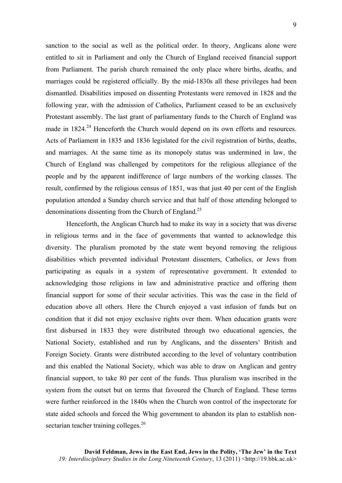sanction to the social as well as the political order. In theory, Anglicans alone were entitled to sit in Parliament and only the Church of England received financial support from Parliament. The parish church remained the only place where births, deaths, and marriages could be registered officially. By the mid-1830s all these privileges had been dismantled. Disabilities imposed on dissenting Protestants were removed in 1828 and the following year, with the admission of Catholics, Parliament ceased to be an exclusively Protestant assembly. The last grant of parliamentary funds to the Church of England was made in 1824.<sup>24</sup> Henceforth the Church would depend on its own efforts and resources. Acts of Parliament in 1835 and 1836 legislated for the civil registration of births, deaths, and marriages. At the same time as its monopoly status was undermined in law, the Church of England was challenged by competitors for the religious allegiance of the people and by the apparent indifference of large numbers of the working classes. The result, confirmed by the religious census of 1851, was that just 40 per cent of the English population attended a Sunday church service and that half of those attending belonged to denominations dissenting from the Church of England.25

Henceforth, the Anglican Church had to make its way in a society that was diverse in religious terms and in the face of governments that wanted to acknowledge this diversity. The pluralism promoted by the state went beyond removing the religious disabilities which prevented individual Protestant dissenters, Catholics, or Jews from participating as equals in a system of representative government. It extended to acknowledging those religions in law and administrative practice and offering them financial support for some of their secular activities. This was the case in the field of education above all others. Here the Church enjoyed a vast infusion of funds but on condition that it did not enjoy exclusive rights over them. When education grants were first disbursed in 1833 they were distributed through two educational agencies, the National Society, established and run by Anglicans, and the dissenters' British and Foreign Society. Grants were distributed according to the level of voluntary contribution and this enabled the National Society, which was able to draw on Anglican and gentry financial support, to take 80 per cent of the funds. Thus pluralism was inscribed in the system from the outset but on terms that favoured the Church of England. These terms were further reinforced in the 1840s when the Church won control of the inspectorate for state aided schools and forced the Whig government to abandon its plan to establish nonsectarian teacher training colleges.<sup>26</sup>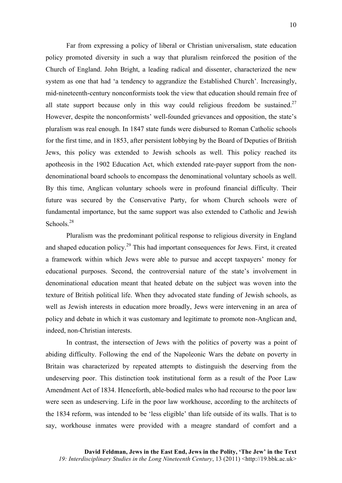Far from expressing a policy of liberal or Christian universalism, state education policy promoted diversity in such a way that pluralism reinforced the position of the Church of England. John Bright, a leading radical and dissenter, characterized the new system as one that had 'a tendency to aggrandize the Established Church'. Increasingly, mid-nineteenth-century nonconformists took the view that education should remain free of all state support because only in this way could religious freedom be sustained.<sup>27</sup> However, despite the nonconformists' well-founded grievances and opposition, the state's pluralism was real enough. In 1847 state funds were disbursed to Roman Catholic schools for the first time, and in 1853, after persistent lobbying by the Board of Deputies of British Jews, this policy was extended to Jewish schools as well. This policy reached its apotheosis in the 1902 Education Act, which extended rate-payer support from the nondenominational board schools to encompass the denominational voluntary schools as well. By this time, Anglican voluntary schools were in profound financial difficulty. Their future was secured by the Conservative Party, for whom Church schools were of fundamental importance, but the same support was also extended to Catholic and Jewish Schools $28$ 

Pluralism was the predominant political response to religious diversity in England and shaped education policy.<sup>29</sup> This had important consequences for Jews. First, it created a framework within which Jews were able to pursue and accept taxpayers' money for educational purposes. Second, the controversial nature of the state's involvement in denominational education meant that heated debate on the subject was woven into the texture of British political life. When they advocated state funding of Jewish schools, as well as Jewish interests in education more broadly, Jews were intervening in an area of policy and debate in which it was customary and legitimate to promote non-Anglican and, indeed, non-Christian interests.

In contrast, the intersection of Jews with the politics of poverty was a point of abiding difficulty. Following the end of the Napoleonic Wars the debate on poverty in Britain was characterized by repeated attempts to distinguish the deserving from the undeserving poor. This distinction took institutional form as a result of the Poor Law Amendment Act of 1834. Henceforth, able-bodied males who had recourse to the poor law were seen as undeserving. Life in the poor law workhouse, according to the architects of the 1834 reform, was intended to be 'less eligible' than life outside of its walls. That is to say, workhouse inmates were provided with a meagre standard of comfort and a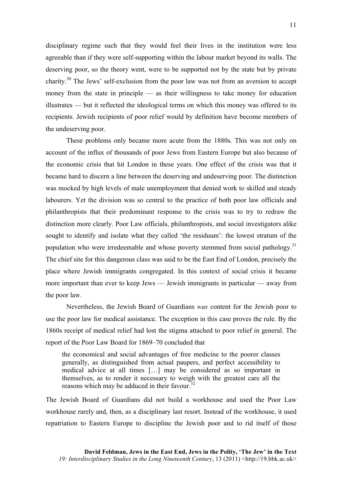disciplinary regime such that they would feel their lives in the institution were less agreeable than if they were self-supporting within the labour market beyond its walls. The deserving poor, so the theory went, were to be supported not by the state but by private charity.<sup>30</sup> The Jews' self-exclusion from the poor law was not from an aversion to accept money from the state in principle — as their willingness to take money for education illustrates — but it reflected the ideological terms on which this money was offered to its recipients. Jewish recipients of poor relief would by definition have become members of the undeserving poor.

These problems only became more acute from the 1880s. This was not only on account of the influx of thousands of poor Jews from Eastern Europe but also because of the economic crisis that hit London in these years. One effect of the crisis was that it became hard to discern a line between the deserving and undeserving poor. The distinction was mocked by high levels of male unemployment that denied work to skilled and steady labourers. Yet the division was so central to the practice of both poor law officials and philanthropists that their predominant response to the crisis was to try to redraw the distinction more clearly. Poor Law officials, philanthropists, and social investigators alike sought to identify and isolate what they called 'the residuum': the lowest stratum of the population who were irredeemable and whose poverty stemmed from social pathology.<sup>31</sup> The chief site for this dangerous class was said to be the East End of London, precisely the place where Jewish immigrants congregated. In this context of social crisis it became more important than ever to keep Jews — Jewish immigrants in particular — away from the poor law.

Nevertheless, the Jewish Board of Guardians *was* content for the Jewish poor to use the poor law for medical assistance. The exception in this case proves the rule. By the 1860s receipt of medical relief had lost the stigma attached to poor relief in general. The report of the Poor Law Board for 1869–70 concluded that

the economical and social advantages of free medicine to the poorer classes generally, as distinguished from actual paupers, and perfect accessibility to medical advice at all times […] may be considered as so important in themselves, as to render it necessary to weigh with the greatest care all the reasons which may be adduced in their favour.<sup>32</sup>

The Jewish Board of Guardians did not build a workhouse and used the Poor Law workhouse rarely and, then, as a disciplinary last resort. Instead of the workhouse, it used repatriation to Eastern Europe to discipline the Jewish poor and to rid itself of those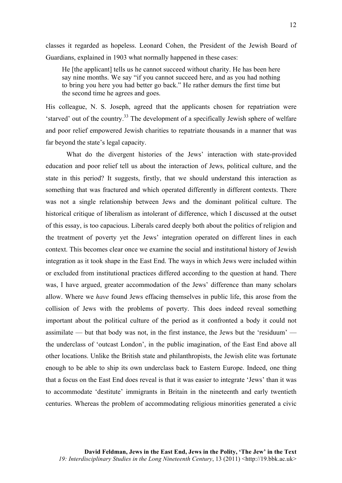classes it regarded as hopeless. Leonard Cohen, the President of the Jewish Board of Guardians, explained in 1903 what normally happened in these cases:

He [the applicant] tells us he cannot succeed without charity. He has been here say nine months. We say "if you cannot succeed here, and as you had nothing to bring you here you had better go back." He rather demurs the first time but the second time he agrees and goes.

His colleague, N. S. Joseph, agreed that the applicants chosen for repatriation were 'starved' out of the country.<sup>33</sup> The development of a specifically Jewish sphere of welfare and poor relief empowered Jewish charities to repatriate thousands in a manner that was far beyond the state's legal capacity.

What do the divergent histories of the Jews' interaction with state-provided education and poor relief tell us about the interaction of Jews, political culture, and the state in this period? It suggests, firstly, that we should understand this interaction as something that was fractured and which operated differently in different contexts. There was not a single relationship between Jews and the dominant political culture. The historical critique of liberalism as intolerant of difference, which I discussed at the outset of this essay, is too capacious. Liberals cared deeply both about the politics of religion and the treatment of poverty yet the Jews' integration operated on different lines in each context. This becomes clear once we examine the social and institutional history of Jewish integration as it took shape in the East End. The ways in which Jews were included within or excluded from institutional practices differed according to the question at hand. There was, I have argued, greater accommodation of the Jews' difference than many scholars allow. Where we *have* found Jews effacing themselves in public life, this arose from the collision of Jews with the problems of poverty. This does indeed reveal something important about the political culture of the period as it confronted a body it could not assimilate — but that body was not, in the first instance, the Jews but the 'residuum' the underclass of 'outcast London', in the public imagination, of the East End above all other locations. Unlike the British state and philanthropists, the Jewish elite was fortunate enough to be able to ship its own underclass back to Eastern Europe. Indeed, one thing that a focus on the East End does reveal is that it was easier to integrate 'Jews' than it was to accommodate 'destitute' immigrants in Britain in the nineteenth and early twentieth centuries. Whereas the problem of accommodating religious minorities generated a civic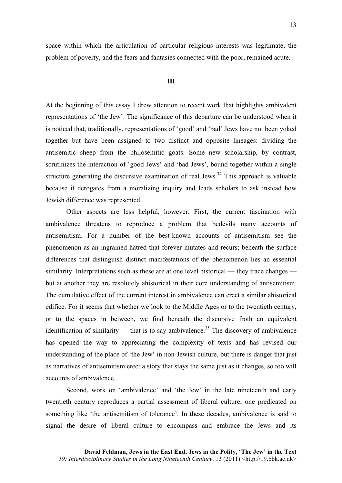space within which the articulation of particular religious interests was legitimate, the problem of poverty, and the fears and fantasies connected with the poor, remained acute.

## **III**

At the beginning of this essay I drew attention to recent work that highlights ambivalent representations of 'the Jew'. The significance of this departure can be understood when it is noticed that, traditionally, representations of 'good' and 'bad' Jews have not been yoked together but have been assigned to two distinct and opposite lineages: dividing the antisemitic sheep from the philosemitic goats. Some new scholarship, by contrast, scrutinizes the interaction of 'good Jews' and 'bad Jews', bound together within a single structure generating the discursive examination of real Jews.<sup>34</sup> This approach is valuable because it derogates from a moralizing inquiry and leads scholars to ask instead how Jewish difference was represented.

Other aspects are less helpful, however. First, the current fascination with ambivalence threatens to reproduce a problem that bedevils many accounts of antisemitism. For a number of the best-known accounts of antisemitism see the phenomenon as an ingrained hatred that forever mutates and recurs; beneath the surface differences that distinguish distinct manifestations of the phenomenon lies an essential similarity. Interpretations such as these are at one level historical — they trace changes but at another they are resolutely ahistorical in their core understanding of antisemitism. The cumulative effect of the current interest in ambivalence can erect a similar ahistorical edifice. For it seems that whether we look to the Middle Ages or to the twentieth century, or to the spaces in between, we find beneath the discursive froth an equivalent identification of similarity — that is to say ambivalence.<sup>35</sup> The discovery of ambivalence has opened the way to appreciating the complexity of texts and has revised our understanding of the place of 'the Jew' in non-Jewish culture, but there is danger that just as narratives of antisemitism erect a story that stays the same just as it changes, so too will accounts of ambivalence.

Second, work on 'ambivalence' and 'the Jew' in the late nineteenth and early twentieth century reproduces a partial assessment of liberal culture; one predicated on something like 'the antisemitism of tolerance'. In these decades, ambivalence is said to signal the desire of liberal culture to encompass and embrace the Jews and its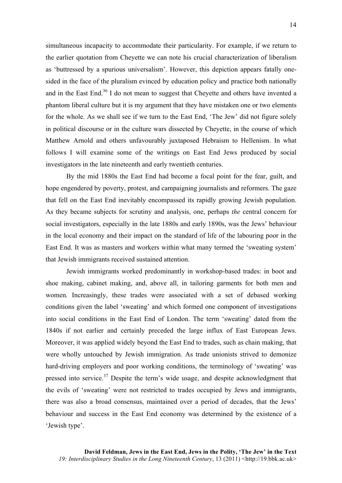simultaneous incapacity to accommodate their particularity. For example, if we return to the earlier quotation from Cheyette we can note his crucial characterization of liberalism as 'buttressed by a spurious universalism'. However, this depiction appears fatally onesided in the face of the pluralism evinced by education policy and practice both nationally and in the East End.<sup>36</sup> I do not mean to suggest that Chevette and others have invented a phantom liberal culture but it is my argument that they have mistaken one or two elements for the whole. As we shall see if we turn to the East End, 'The Jew' did not figure solely in political discourse or in the culture wars dissected by Cheyette, in the course of which Matthew Arnold and others unfavourably juxtaposed Hebraism to Hellenism. In what follows I will examine some of the writings on East End Jews produced by social investigators in the late nineteenth and early twentieth centuries.

By the mid 1880s the East End had become a focal point for the fear, guilt, and hope engendered by poverty, protest, and campaigning journalists and reformers. The gaze that fell on the East End inevitably encompassed its rapidly growing Jewish population. As they became subjects for scrutiny and analysis, one, perhaps *the* central concern for social investigators, especially in the late 1880s and early 1890s, was the Jews' behaviour in the local economy and their impact on the standard of life of the labouring poor in the East End. It was as masters and workers within what many termed the 'sweating system' that Jewish immigrants received sustained attention.

Jewish immigrants worked predominantly in workshop-based trades: in boot and shoe making, cabinet making, and, above all, in tailoring garments for both men and women. Increasingly, these trades were associated with a set of debased working conditions given the label 'sweating' and which formed one component of investigations into social conditions in the East End of London. The term 'sweating' dated from the 1840s if not earlier and certainly preceded the large influx of East European Jews. Moreover, it was applied widely beyond the East End to trades, such as chain making, that were wholly untouched by Jewish immigration. As trade unionists strived to demonize hard-driving employers and poor working conditions, the terminology of 'sweating' was pressed into service.<sup>37</sup> Despite the term's wide usage, and despite acknowledgment that the evils of 'sweating' were not restricted to trades occupied by Jews and immigrants, there was also a broad consensus, maintained over a period of decades, that the Jews' behaviour and success in the East End economy was determined by the existence of a 'Jewish type'.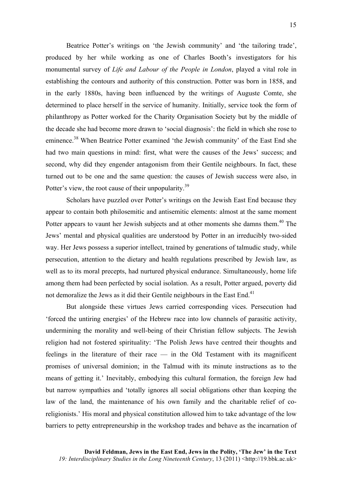Beatrice Potter's writings on 'the Jewish community' and 'the tailoring trade', produced by her while working as one of Charles Booth's investigators for his monumental survey of *Life and Labour of the People in London*, played a vital role in establishing the contours and authority of this construction. Potter was born in 1858, and in the early 1880s, having been influenced by the writings of Auguste Comte, she determined to place herself in the service of humanity. Initially, service took the form of philanthropy as Potter worked for the Charity Organisation Society but by the middle of the decade she had become more drawn to 'social diagnosis': the field in which she rose to eminence.<sup>38</sup> When Beatrice Potter examined 'the Jewish community' of the East End she had two main questions in mind: first, what were the causes of the Jews' success; and second, why did they engender antagonism from their Gentile neighbours. In fact, these turned out to be one and the same question: the causes of Jewish success were also, in Potter's view, the root cause of their unpopularity.<sup>39</sup>

Scholars have puzzled over Potter's writings on the Jewish East End because they appear to contain both philosemitic and antisemitic elements: almost at the same moment Potter appears to vaunt her Jewish subjects and at other moments she damns them.<sup>40</sup> The Jews' mental and physical qualities are understood by Potter in an irreducibly two-sided way. Her Jews possess a superior intellect, trained by generations of talmudic study, while persecution, attention to the dietary and health regulations prescribed by Jewish law, as well as to its moral precepts, had nurtured physical endurance. Simultaneously, home life among them had been perfected by social isolation. As a result, Potter argued, poverty did not demoralize the Jews as it did their Gentile neighbours in the East End.<sup>41</sup>

But alongside these virtues Jews carried corresponding vices. Persecution had 'forced the untiring energies' of the Hebrew race into low channels of parasitic activity, undermining the morality and well-being of their Christian fellow subjects. The Jewish religion had not fostered spirituality: 'The Polish Jews have centred their thoughts and feelings in the literature of their race — in the Old Testament with its magnificent promises of universal dominion; in the Talmud with its minute instructions as to the means of getting it.' Inevitably, embodying this cultural formation, the foreign Jew had but narrow sympathies and 'totally ignores all social obligations other than keeping the law of the land, the maintenance of his own family and the charitable relief of coreligionists.' His moral and physical constitution allowed him to take advantage of the low barriers to petty entrepreneurship in the workshop trades and behave as the incarnation of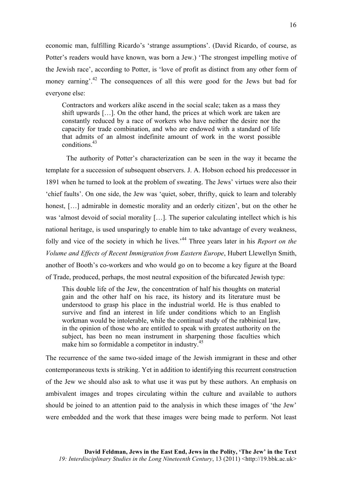economic man, fulfilling Ricardo's 'strange assumptions'. (David Ricardo, of course, as Potter's readers would have known, was born a Jew.) 'The strongest impelling motive of the Jewish race', according to Potter, is 'love of profit as distinct from any other form of money earning'.<sup>42</sup> The consequences of all this were good for the Jews but bad for everyone else:

Contractors and workers alike ascend in the social scale; taken as a mass they shift upwards […]. On the other hand, the prices at which work are taken are constantly reduced by a race of workers who have neither the desire nor the capacity for trade combination, and who are endowed with a standard of life that admits of an almost indefinite amount of work in the worst possible conditions.<sup>43</sup>

The authority of Potter's characterization can be seen in the way it became the template for a succession of subsequent observers. J. A. Hobson echoed his predecessor in 1891 when he turned to look at the problem of sweating. The Jews' virtues were also their 'chief faults'. On one side, the Jew was 'quiet, sober, thrifty, quick to learn and tolerably honest, [...] admirable in domestic morality and an orderly citizen', but on the other he was 'almost devoid of social morality [...]. The superior calculating intellect which is his national heritage, is used unsparingly to enable him to take advantage of every weakness, folly and vice of the society in which he lives.<sup>44</sup> Three years later in his *Report on the Volume and Effects of Recent Immigration from Eastern Europe*, Hubert Llewellyn Smith, another of Booth's co-workers and who would go on to become a key figure at the Board of Trade, produced, perhaps, the most neutral exposition of the bifurcated Jewish type:

This double life of the Jew, the concentration of half his thoughts on material gain and the other half on his race, its history and its literature must be understood to grasp his place in the industrial world. He is thus enabled to survive and find an interest in life under conditions which to an English workman would be intolerable, while the continual study of the rabbinical law, in the opinion of those who are entitled to speak with greatest authority on the subject, has been no mean instrument in sharpening those faculties which make him so formidable a competitor in industry.<sup>45</sup>

The recurrence of the same two-sided image of the Jewish immigrant in these and other contemporaneous texts is striking. Yet in addition to identifying this recurrent construction of the Jew we should also ask to what use it was put by these authors. An emphasis on ambivalent images and tropes circulating within the culture and available to authors should be joined to an attention paid to the analysis in which these images of 'the Jew' were embedded and the work that these images were being made to perform. Not least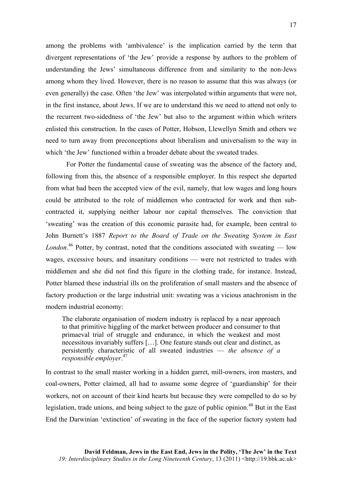among the problems with 'ambivalence' is the implication carried by the term that divergent representations of 'the Jew' provide a response by authors to the problem of understanding the Jews' simultaneous difference from and similarity to the non-Jews among whom they lived. However, there is no reason to assume that this was always (or even generally) the case. Often 'the Jew' was interpolated within arguments that were not, in the first instance, about Jews. If we are to understand this we need to attend not only to the recurrent two-sidedness of 'the Jew' but also to the argument within which writers enlisted this construction. In the cases of Potter, Hobson, Llewellyn Smith and others we need to turn away from preconceptions about liberalism and universalism to the way in which 'the Jew' functioned within a broader debate about the sweated trades.

For Potter the fundamental cause of sweating was the absence of the factory and, following from this, the absence of a responsible employer. In this respect she departed from what had been the accepted view of the evil, namely, that low wages and long hours could be attributed to the role of middlemen who contracted for work and then subcontracted it, supplying neither labour nor capital themselves. The conviction that 'sweating' was the creation of this economic parasite had, for example, been central to John Burnett's 1887 *Report to the Board of Trade on the Sweating System in East London*. <sup>46</sup> Potter, by contrast, noted that the conditions associated with sweating — low wages, excessive hours, and insanitary conditions — were not restricted to trades with middlemen and she did not find this figure in the clothing trade, for instance. Instead, Potter blamed these industrial ills on the proliferation of small masters and the absence of factory production or the large industrial unit: sweating was a vicious anachronism in the modern industrial economy:

The elaborate organisation of modern industry is replaced by a near approach to that primitive higgling of the market between producer and consumer to that primaeval trial of struggle and endurance, in which the weakest and most necessitous invariably suffers […]. One feature stands out clear and distinct, as persistently characteristic of all sweated industries — *the absence of a responsible employer*. 47

In contrast to the small master working in a hidden garret, mill-owners, iron masters, and coal-owners, Potter claimed, all had to assume some degree of 'guardianship' for their workers, not on account of their kind hearts but because they were compelled to do so by legislation, trade unions, and being subject to the gaze of public opinion.<sup>48</sup> But in the East End the Darwinian 'extinction' of sweating in the face of the superior factory system had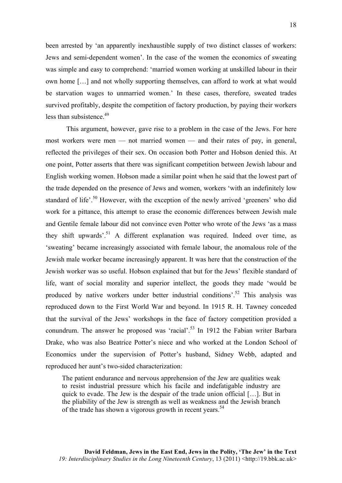18

been arrested by 'an apparently inexhaustible supply of two distinct classes of workers: Jews and semi-dependent women'. In the case of the women the economics of sweating was simple and easy to comprehend: 'married women working at unskilled labour in their own home […] and not wholly supporting themselves, can afford to work at what would be starvation wages to unmarried women.' In these cases, therefore, sweated trades survived profitably, despite the competition of factory production, by paying their workers less than subsistence.<sup>49</sup>

This argument, however, gave rise to a problem in the case of the Jews. For here most workers were men — not married women — and their rates of pay, in general, reflected the privileges of their sex. On occasion both Potter and Hobson denied this. At one point, Potter asserts that there was significant competition between Jewish labour and English working women. Hobson made a similar point when he said that the lowest part of the trade depended on the presence of Jews and women, workers 'with an indefinitely low standard of life'.<sup>50</sup> However, with the exception of the newly arrived 'greeners' who did work for a pittance, this attempt to erase the economic differences between Jewish male and Gentile female labour did not convince even Potter who wrote of the Jews 'as a mass they shift upwards<sup> $51$ </sup> A different explanation was required. Indeed over time, as 'sweating' became increasingly associated with female labour, the anomalous role of the Jewish male worker became increasingly apparent. It was here that the construction of the Jewish worker was so useful. Hobson explained that but for the Jews' flexible standard of life, want of social morality and superior intellect, the goods they made 'would be produced by native workers under better industrial conditions'.52 This analysis was reproduced down to the First World War and beyond. In 1915 R. H. Tawney conceded that the survival of the Jews' workshops in the face of factory competition provided a conundrum. The answer he proposed was 'racial'.<sup>53</sup> In 1912 the Fabian writer Barbara Drake, who was also Beatrice Potter's niece and who worked at the London School of Economics under the supervision of Potter's husband, Sidney Webb, adapted and reproduced her aunt's two-sided characterization:

The patient endurance and nervous apprehension of the Jew are qualities weak to resist industrial pressure which his facile and indefatigable industry are quick to evade. The Jew is the despair of the trade union official […]. But in the pliability of the Jew is strength as well as weakness and the Jewish branch of the trade has shown a vigorous growth in recent years.<sup>54</sup>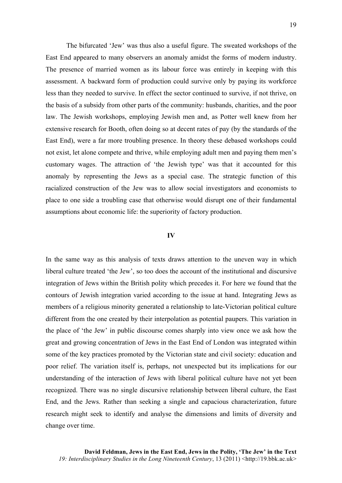The bifurcated 'Jew' was thus also a useful figure. The sweated workshops of the East End appeared to many observers an anomaly amidst the forms of modern industry. The presence of married women as its labour force was entirely in keeping with this assessment. A backward form of production could survive only by paying its workforce less than they needed to survive. In effect the sector continued to survive, if not thrive, on the basis of a subsidy from other parts of the community: husbands, charities, and the poor law. The Jewish workshops, employing Jewish men and, as Potter well knew from her extensive research for Booth, often doing so at decent rates of pay (by the standards of the East End), were a far more troubling presence. In theory these debased workshops could not exist, let alone compete and thrive, while employing adult men and paying them men's customary wages. The attraction of 'the Jewish type' was that it accounted for this anomaly by representing the Jews as a special case. The strategic function of this racialized construction of the Jew was to allow social investigators and economists to place to one side a troubling case that otherwise would disrupt one of their fundamental assumptions about economic life: the superiority of factory production.

## **IV**

In the same way as this analysis of texts draws attention to the uneven way in which liberal culture treated 'the Jew', so too does the account of the institutional and discursive integration of Jews within the British polity which precedes it. For here we found that the contours of Jewish integration varied according to the issue at hand. Integrating Jews as members of a religious minority generated a relationship to late-Victorian political culture different from the one created by their interpolation as potential paupers. This variation in the place of 'the Jew' in public discourse comes sharply into view once we ask how the great and growing concentration of Jews in the East End of London was integrated within some of the key practices promoted by the Victorian state and civil society: education and poor relief. The variation itself is, perhaps, not unexpected but its implications for our understanding of the interaction of Jews with liberal political culture have not yet been recognized. There was no single discursive relationship between liberal culture, the East End, and the Jews. Rather than seeking a single and capacious characterization, future research might seek to identify and analyse the dimensions and limits of diversity and change over time.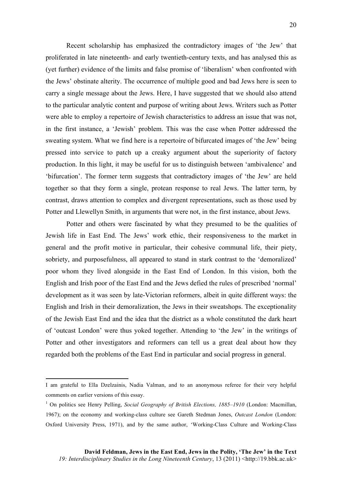Recent scholarship has emphasized the contradictory images of 'the Jew' that proliferated in late nineteenth- and early twentieth-century texts, and has analysed this as (yet further) evidence of the limits and false promise of 'liberalism' when confronted with the Jews' obstinate alterity. The occurrence of multiple good and bad Jews here is seen to carry a single message about the Jews. Here, I have suggested that we should also attend to the particular analytic content and purpose of writing about Jews. Writers such as Potter were able to employ a repertoire of Jewish characteristics to address an issue that was not, in the first instance, a 'Jewish' problem. This was the case when Potter addressed the sweating system. What we find here is a repertoire of bifurcated images of 'the Jew' being pressed into service to patch up a creaky argument about the superiority of factory production. In this light, it may be useful for us to distinguish between 'ambivalence' and 'bifurcation'. The former term suggests that contradictory images of 'the Jew' are held together so that they form a single, protean response to real Jews. The latter term, by contrast, draws attention to complex and divergent representations, such as those used by Potter and Llewellyn Smith, in arguments that were not, in the first instance, about Jews.

Potter and others were fascinated by what they presumed to be the qualities of Jewish life in East End. The Jews' work ethic, their responsiveness to the market in general and the profit motive in particular, their cohesive communal life, their piety, sobriety, and purposefulness, all appeared to stand in stark contrast to the 'demoralized' poor whom they lived alongside in the East End of London. In this vision, both the English and Irish poor of the East End and the Jews defied the rules of prescribed 'normal' development as it was seen by late-Victorian reformers, albeit in quite different ways: the English and Irish in their demoralization, the Jews in their sweatshops. The exceptionality of the Jewish East End and the idea that the district as a whole constituted the dark heart of 'outcast London' were thus yoked together. Attending to 'the Jew' in the writings of Potter and other investigators and reformers can tell us a great deal about how they regarded both the problems of the East End in particular and social progress in general.

<u> 1989 - Johann Stein, marwolaethau a bh</u>

I am grateful to Ella Dzelzainis, Nadia Valman, and to an anonymous referee for their very helpful comments on earlier versions of this essay.

<sup>&</sup>lt;sup>1</sup> On politics see Henry Pelling, *Social Geography of British Elections, 1885-1910* (London: Macmillan, 1967); on the economy and working-class culture see Gareth Stedman Jones, *Outcast London* (London: Oxford University Press, 1971), and by the same author, 'Working-Class Culture and Working-Class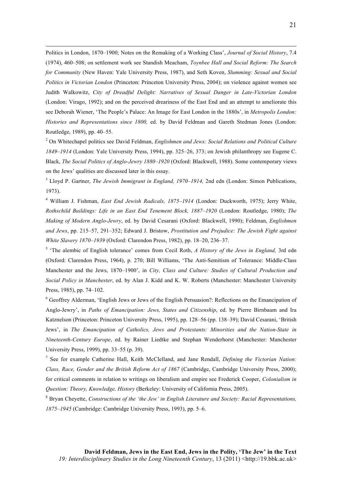Politics in London, 1870–1900; Notes on the Remaking of a Working Class', *Journal of Social History*, 7.4 (1974), 460–508; on settlement work see Standish Meacham, *Toynbee Hall and Social Reform: The Search for Community* (New Haven: Yale University Press, 1987), and Seth Koven, *Slumming: Sexual and Social Politics in Victorian London* (Princeton: Princeton University Press, 2004); on violence against women see Judith Walkowitz, *City of Dreadful Delight: Narratives of Sexual Danger in Late-Victorian London* (London: Virago, 1992); and on the perceived dreariness of the East End and an attempt to ameliorate this see Deborah Wiener, 'The People's Palace: An Image for East London in the 1880s', in *Metropolis London: Histories and Representations since 1800,* ed. by David Feldman and Gareth Stedman Jones (London: Routledge, 1989), pp. 40–55.

<u> 2002 - Andrea San Andrea San Andrea San Andrea San Andrea San Andrea San Andrea San Andrea San Andrea San An</u>

<sup>2</sup> On Whitechapel politics see David Feldman, *Englishmen and Jews: Social Relations and Political Culture 1849–1914* (London: Yale University Press, 1994), pp. 325–26, 373; on Jewish philanthropy see Eugene C. Black, *The Social Politics of Anglo-Jewry 1880–1920* (Oxford: Blackwell, 1988). Some contemporary views on the Jews' qualities are discussed later in this essay.

<sup>3</sup> Lloyd P. Gartner, *The Jewish Immigrant in England, 1970–1914,* 2nd edn (London: Simon Publications, 1973).

<sup>4</sup> William J. Fishman, *East End Jewish Radicals, 1875–1914* (London: Duckworth, 1975); Jerry White, *Rothschild Buildings: Life in an East End Tenement Block, 1887–1920* (London: Routledge, 1980); *The Making of Modern Anglo-Jewry*, ed. by David Cesarani (Oxford: Blackwell, 1990); Feldman, *Englishmen and Jews*, pp. 215–57, 291–352; Edward J. Bristow, *Prostitution and Prejudice: The Jewish Fight against White Slavery 1870–1939* (Oxford: Clarendon Press, 1982), pp. 18–20, 236–37.

<sup>5</sup> 'The alembic of English tolerance' comes from Cecil Roth, *A History of the Jews in England,* 3rd edn (Oxford: Clarendon Press, 1964), p. 270; Bill Williams, 'The Anti-Semitism of Tolerance: Middle-Class Manchester and the Jews, 1870–1900', in *City, Class and Culture: Studies of Cultural Production and Social Policy in Manchester*, ed. by Alan J. Kidd and K. W. Roberts (Manchester: Manchester University Press, 1985), pp. 74–102.

<sup>6</sup> Geoffrey Alderman, 'English Jews or Jews of the English Persuasion?: Reflections on the Emancipation of Anglo-Jewry', in *Paths of Emancipation: Jews, States and Citizenship*, ed. by Pierre Birnbaum and Ira Katznelson (Princeton: Princeton University Press, 1995), pp. 128–56 (pp. 138–39); David Cesarani, 'British Jews', in *The Emancipation of Catholics, Jews and Protestants: Minorities and the Nation-State in Nineteenth-Century Europe*, ed. by Rainer Liedtke and Stephan Wenderhorst (Manchester: Manchester University Press, 1999), pp. 33–55 (p. 39).

<sup>7</sup> See for example Catherine Hall, Keith McClelland, and Jane Rendall, *Defining the Victorian Nation: Class, Race, Gender and the British Reform Act of 1867* (Cambridge, Cambridge University Press, 2000); for critical comments in relation to writings on liberalism and empire see Frederick Cooper, *Colonialism in Question: Theory, Knowledge, History* (Berkeley: University of California Press, 2005).

<sup>8</sup> Bryan Cheyette, *Constructions of the 'the Jew' in English Literature and Society: Racial Representations, 1875–1945* (Cambridge: Cambridge University Press, 1993), pp. 5–6.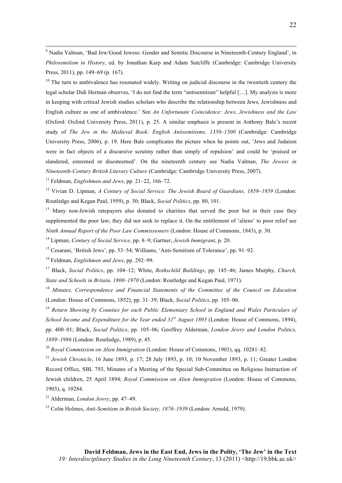<sup>9</sup> Nadia Valman, 'Bad Jew/Good Jewess: Gender and Semitic Discourse in Nineteenth-Century England', in *Philosemitism in History*, ed. by Jonathan Karp and Adam Sutcliffe (Cambridge: Cambridge University Press, 2011), pp. 149–69 (p. 167).

<u> 2002 - Andrea San Andrea San Andrea San Andrea San Andrea San Andrea San Andrea San Andrea San Andrea San An</u>

<sup>10</sup> The turn to ambivalence has resonated widely. Writing on judicial discourse in the twentieth century the legal scholar Didi Herman observes, 'I do not find the term "antisemitism" helpful […]. My analysis is more in keeping with critical Jewish studies scholars who describe the relationship between Jews, Jewishness and English culture as one of ambivalence.' See *An Unfortunate Coincidence: Jews, Jewishness and the Law* (Oxford: Oxford University Press, 2011), p. 25. A similar emphasis is present in Anthony Bale's recent study of *The Jew in the Medieval Book: English Antisemitisms, 1350–1500* (Cambridge: Cambridge University Press, 2006), p. 19. Here Bale complicates the picture when he points out, 'Jews and Judaism were in fact objects of a discursive scrutiny rather than simply of repulsion' and could be 'praised or slandered, esteemed or disesteemed'. On the nineteenth century see Nadia Valman, *The Jewess in Nineteenth-Century British Literary Culture* (Cambridge: Cambridge University Press, 2007).

<sup>11</sup> Feldman, *Englishmen and Jews*, pp. 21–22, 166–72.

<sup>12</sup> Vivian D. Lipman, *A Century of Social Service: The Jewish Board of Guardians, 1859–1959* (London: Routledge and Kegan Paul, 1959), p. 30; Black, *Social Politics*, pp. 80, 101.

<sup>13</sup> Many non-Jewish ratepayers also donated to charities that served the poor but in their case they supplemented the poor law; they did not seek to replace it. On the entitlement of 'aliens' to poor relief see *Ninth Annual Report of the Poor Law Commissioners* (London: House of Commons, 1843), p. 30.

<sup>14</sup> Lipman, *Century of Social Service*, pp. 8–9; Gartner, *Jewish Immigrant*, p. 20.

<sup>15</sup> Cesarani, 'British Jews', pp. 53–54; Williams, 'Anti-Semitism of Tolerance', pp. 91–92.

<sup>16</sup> Feldman, *Englishmen and Jews*, pp. 292–99.

<sup>17</sup> Black, *Social Politics*, pp. 104–12; White, *Rothschild Buildings*, pp. 145–46; James Murphy, *Church, State and Schools in Britain, 1800–1970* (London: Routledge and Kegan Paul, 1971).

<sup>18</sup> *Minutes, Correspondence and Financial Statements of the Committee of the Council on Education* (London: House of Commons, 1852), pp. 31–39; Black, *Social Politics*, pp. 105–06.

<sup>19</sup> *Return Showing by Counties for each Public Elementary School in England and Wales Particulars of School Income and Expenditure for the Year ended 31st August 1893* (London: House of Commons, 1894), pp. 400–01; Black, *Social Politics*, pp. 105–06; Geoffrey Alderman, *London Jewry and London Politics, 1889–1986* (London: Routledge, 1989), p. 45.

<sup>20</sup> *Royal Commission on Alien Immigration* (London: House of Commons, 1903), qq. 10281–82.

<sup>21</sup> *Jewish Chronicle*, 16 June 1893, p. 17; 28 July 1893, p. 10; 10 November 1893, p. 11; Greater London Record Office, SBL 793, Minutes of a Meeting of the Special Sub-Committee on Religious Instruction of Jewish children, 25 April 1894; *Royal Commission on Alien Immigration* (London: House of Commons, 1903), q. 10284.

<sup>22</sup> Alderman, *London Jewry*, pp. 47–49.

<sup>23</sup> Colin Holmes, *Anti-Semitism in British Society, 1876–1939* (London: Arnold, 1979).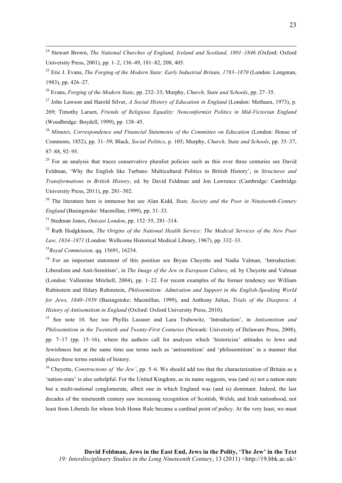<sup>24</sup> Stewart Brown, *The National Churches of England, Ireland and Scotland, 1801–1846* (Oxford: Oxford University Press, 2001), pp. 1–2, 136–49, 181–82, 208, 405.

<u> 2002 - Andrea San Andrea San Andrea San Andrea San Andrea San Andrea San Andrea San Andrea San Andrea San An</u>

<sup>25</sup> Eric J. Evans, *The Forging of the Modern State: Early Industrial Britain, 1783–1870* (London: Longman, 1983), pp. 426–27.

<sup>26</sup> Evans, *Forging of the Modern State*, pp. 232–33; Murphy, *Church, State and Schools*, pp. 27–35.

<sup>27</sup> John Lawson and Harold Silver, *A Social History of Education in England* (London: Methuen, 1973), p. 269; Timothy Larsen, *Friends of Religious Equality: Nonconformist Politics in Mid-Victorian England* (Woodbridge: Boydell, 1999), pp. 138–45.

<sup>28</sup> *Minutes, Correspondence and Financial Statements of the Committee on Education* (London: House of Commons, 1852), pp. 31–39; Black, *Social Politics*, p. 105; Murphy, *Church, State and Schools*, pp. 35–37, 87–88, 92–95.

<sup>29</sup> For an analysis that traces conservative pluralist policies such as this over three centuries see David Feldman, 'Why the English like Turbans: Multicultural Politics in British History', in *Structures and Transformations in British History*, ed. by David Feldman and Jon Lawrence (Cambridge: Cambridge University Press, 2011), pp. 281–302.

<sup>30</sup> The literature here is immense but see Alan Kidd, *State, Society and the Poor in Nineteenth-Century England* (Basingstoke: Macmillan, 1999), pp. 31–33.

<sup>31</sup> Stedman Jones, *Outcast London*, pp. 152–55, 281–314.

<sup>32</sup> Ruth Hodgkinson, *The Origins of the National Health Service: The Medical Services of the New Poor Law, 1834–1871* (London: Wellcome Historical Medical Library, 1967), pp. 332–33.

<sup>33</sup>*Royal Commission,* qq. 15691, 16234.

<sup>34</sup> For an important statement of this position see Bryan Cheyette and Nadia Valman, 'Introduction: Liberalism and Anti-Semitism', in *The Image of the Jew in European Culture*, ed. by Cheyette and Valman (London: Vallentine Mitchell, 2004), pp. 1–22. For recent examples of the former tendency see William Rubinstein and Hilary Rubinstein, *Philosemitism: Admiration and Support in the English-Speaking World for Jews, 1840–1939* (Basingstoke: Macmillan, 1999), and Anthony Julius, *Trials of the Diaspora: A History of Antisemitism in England* (Oxford: Oxford University Press, 2010).

<sup>35</sup> See note 10. See too Phyllis Lassner and Lara Trubowitz, 'Introduction', in *Antisemitism and Philosemitism in the Twentieth and Twenty-First Centuries* (Newark: University of Delaware Press, 2008), pp. 7–17 (pp. 15–16), where the authors call for analyses which 'historicize' attitudes to Jews and Jewishness but at the same time use terms such as 'antisemitism' and 'philosemitism' in a manner that places these terms outside of history.

<sup>36</sup> Cheyette, *Constructions of 'the Jew'*, pp. 5–6. We should add too that the characterization of Britain as a 'nation-state' is also unhelpful. For the United Kingdom, as its name suggests, was (and is) not a nation state but a multi-national conglomerate, albeit one in which England was (and is) dominant. Indeed, the last decades of the nineteenth century saw increasing recognition of Scottish, Welsh, and Irish nationhood, not least from Liberals for whom Irish Home Rule became a cardinal point of policy. At the very least, we must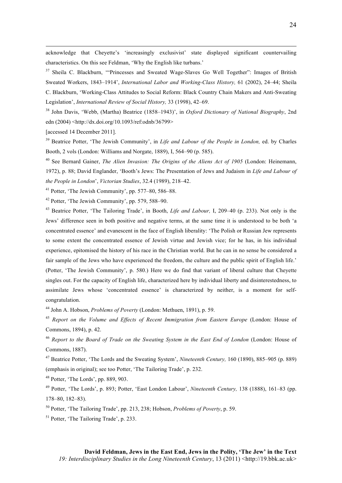acknowledge that Cheyette's 'increasingly exclusivist' state displayed significant countervailing characteristics. On this see Feldman, 'Why the English like turbans.'

<u> 2002 - Andrea San Andrea San Andrea San Andrea San Andrea San Andrea San Andrea San Andrea San Andrea San An</u>

<sup>37</sup> Sheila C. Blackburn, "Princesses and Sweated Wage-Slaves Go Well Together": Images of British Sweated Workers, 1843–1914', *International Labor and Working-Class History,* 61 (2002), 24–44; Sheila C. Blackburn, 'Working-Class Attitudes to Social Reform: Black Country Chain Makers and Anti-Sweating Legislation', *International Review of Social History,* 33 (1998), 42–69.

<sup>38</sup> John Davis, 'Webb, (Martha) Beatrice (1858–1943)', in *Oxford Dictionary of National Biography*, 2nd edn (2004) <http://dx.doi.org/10.1093/ref:odnb/36799>

[accessed 14 December 2011].

<sup>39</sup> Beatrice Potter, 'The Jewish Community', in *Life and Labour of the People in London,* ed. by Charles Booth, 2 vols (London: Williams and Norgate, 1889), I, 564–90 (p. 585).

<sup>40</sup> See Bernard Gainer, *The Alien Invasion: The Origins of the Aliens Act of 1905* (London: Heinemann, 1972), p. 88; David Englander, 'Booth's Jews: The Presentation of Jews and Judaism in *Life and Labour of the People in London*', *Victorian Studies*, 32.4 (1989), 218–42.

 $41$  Potter, 'The Jewish Community', pp. 577–80, 586–88.

<sup>42</sup> Potter, 'The Jewish Community', pp. 579, 588–90.

<sup>43</sup> Beatrice Potter, 'The Tailoring Trade', in Booth, *Life and Labour,* I, 209–40 (p. 233). Not only is the Jews' difference seen in both positive and negative terms, at the same time it is understood to be both 'a concentrated essence' and evanescent in the face of English liberality: 'The Polish or Russian Jew represents to some extent the concentrated essence of Jewish virtue and Jewish vice; for he has, in his individual experience, epitomised the history of his race in the Christian world. But he can in no sense be considered a fair sample of the Jews who have experienced the freedom, the culture and the public spirit of English life.' (Potter, 'The Jewish Community', p. 580.) Here we do find that variant of liberal culture that Cheyette singles out. For the capacity of English life, characterized here by individual liberty and disinterestedness, to assimilate Jews whose 'concentrated essence' is characterized by neither, is a moment for selfcongratulation.

<sup>44</sup> John A. Hobson, *Problems of Poverty* (London: Methuen, 1891), p. 59.

<sup>45</sup> Report on the Volume and Effects of Recent Immigration from Eastern Europe (London: House of Commons, 1894), p. 42.

<sup>46</sup> *Report to the Board of Trade on the Sweating System in the East End of London* (London: House of Commons, 1887).

<sup>47</sup> Beatrice Potter, 'The Lords and the Sweating System', *Nineteenth Century,* 160 (1890), 885–905 (p. 889) (emphasis in original); see too Potter, 'The Tailoring Trade', p. 232.

 $48$  Potter, 'The Lords', pp. 889, 903.

<sup>49</sup> Potter, 'The Lords', p. 893; Potter, 'East London Labour', *Nineteenth Century,* 138 (1888), 161–83 (pp. 178–80, 182–83).

<sup>50</sup> Potter, 'The Tailoring Trade', pp. 213, 238; Hobson, *Problems of Poverty*, p. 59.

<sup>51</sup> Potter, 'The Tailoring Trade', p. 233.